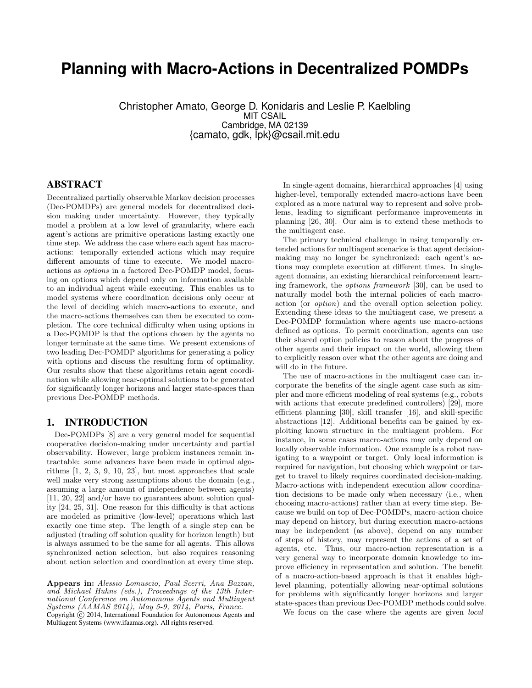# **Planning with Macro-Actions in Decentralized POMDPs**

Christopher Amato, George D. Konidaris and Leslie P. Kaelbling MIT CSAIL Cambridge, MA 02139 {camato, gdk, lpk}@csail.mit.edu

# ABSTRACT

Decentralized partially observable Markov decision processes (Dec-POMDPs) are general models for decentralized decision making under uncertainty. However, they typically model a problem at a low level of granularity, where each agent's actions are primitive operations lasting exactly one time step. We address the case where each agent has macroactions: temporally extended actions which may require different amounts of time to execute. We model macroactions as options in a factored Dec-POMDP model, focusing on options which depend only on information available to an individual agent while executing. This enables us to model systems where coordination decisions only occur at the level of deciding which macro-actions to execute, and the macro-actions themselves can then be executed to completion. The core technical difficulty when using options in a Dec-POMDP is that the options chosen by the agents no longer terminate at the same time. We present extensions of two leading Dec-POMDP algorithms for generating a policy with options and discuss the resulting form of optimality. Our results show that these algorithms retain agent coordination while allowing near-optimal solutions to be generated for significantly longer horizons and larger state-spaces than previous Dec-POMDP methods.

# 1. INTRODUCTION

Dec-POMDPs [8] are a very general model for sequential cooperative decision-making under uncertainty and partial observability. However, large problem instances remain intractable: some advances have been made in optimal algorithms [1, 2, 3, 9, 10, 23], but most approaches that scale well make very strong assumptions about the domain (e.g., assuming a large amount of independence between agents) [11, 20, 22] and/or have no guarantees about solution quality [24, 25, 31]. One reason for this difficulty is that actions are modeled as primitive (low-level) operations which last exactly one time step. The length of a single step can be adjusted (trading off solution quality for horizon length) but is always assumed to be the same for all agents. This allows synchronized action selection, but also requires reasoning about action selection and coordination at every time step.

Appears in: Alessio Lomuscio, Paul Scerri, Ana Bazzan, and Michael Huhns (eds.), Proceedings of the 13th International Conference on Autonomous Agents and Multiagent  $Systems (AAMAS 2014), May 5-9, 2014, Paris, France.$ Copyright (c) 2014, International Foundation for Autonomous Agents and Multiagent Systems (www.ifaamas.org). All rights reserved.

In single-agent domains, hierarchical approaches [4] using higher-level, temporally extended macro-actions have been explored as a more natural way to represent and solve problems, leading to significant performance improvements in planning [26, 30]. Our aim is to extend these methods to the multiagent case.

The primary technical challenge in using temporally extended actions for multiagent scenarios is that agent decisionmaking may no longer be synchronized: each agent's actions may complete execution at different times. In singleagent domains, an existing hierarchical reinforcement learning framework, the options framework [30], can be used to naturally model both the internal policies of each macroaction (or option) and the overall option selection policy. Extending these ideas to the multiagent case, we present a Dec-POMDP formulation where agents use macro-actions defined as options. To permit coordination, agents can use their shared option policies to reason about the progress of other agents and their impact on the world, allowing them to explicitly reason over what the other agents are doing and will do in the future.

The use of macro-actions in the multiagent case can incorporate the benefits of the single agent case such as simpler and more efficient modeling of real systems (e.g., robots with actions that execute predefined controllers) [29], more efficient planning [30], skill transfer [16], and skill-specific abstractions [12]. Additional benefits can be gained by exploiting known structure in the multiagent problem. For instance, in some cases macro-actions may only depend on locally observable information. One example is a robot navigating to a waypoint or target. Only local information is required for navigation, but choosing which waypoint or target to travel to likely requires coordinated decision-making. Macro-actions with independent execution allow coordination decisions to be made only when necessary (i.e., when choosing macro-actions) rather than at every time step. Because we build on top of Dec-POMDPs, macro-action choice may depend on history, but during execution macro-actions may be independent (as above), depend on any number of steps of history, may represent the actions of a set of agents, etc. Thus, our macro-action representation is a very general way to incorporate domain knowledge to improve efficiency in representation and solution. The benefit of a macro-action-based approach is that it enables highlevel planning, potentially allowing near-optimal solutions for problems with significantly longer horizons and larger state-spaces than previous Dec-POMDP methods could solve.

We focus on the case where the agents are given local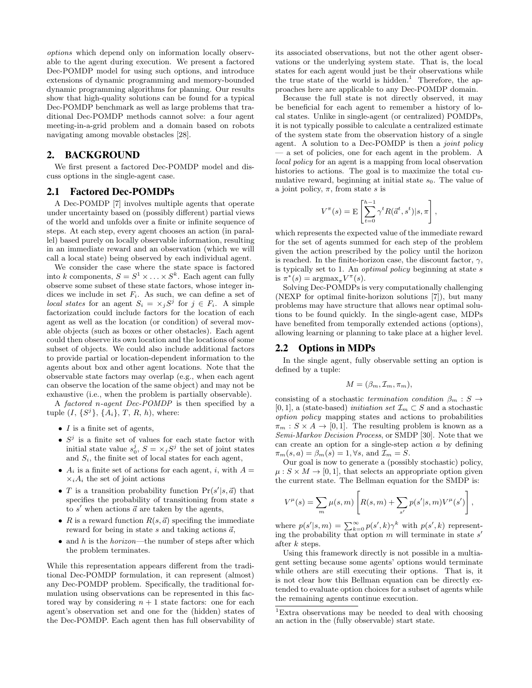options which depend only on information locally observable to the agent during execution. We present a factored Dec-POMDP model for using such options, and introduce extensions of dynamic programming and memory-bounded dynamic programming algorithms for planning. Our results show that high-quality solutions can be found for a typical Dec-POMDP benchmark as well as large problems that traditional Dec-POMDP methods cannot solve: a four agent meeting-in-a-grid problem and a domain based on robots navigating among movable obstacles [28].

# 2. BACKGROUND

We first present a factored Dec-POMDP model and discuss options in the single-agent case.

# 2.1 Factored Dec-POMDPs

A Dec-POMDP [7] involves multiple agents that operate under uncertainty based on (possibly different) partial views of the world and unfolds over a finite or infinite sequence of steps. At each step, every agent chooses an action (in parallel) based purely on locally observable information, resulting in an immediate reward and an observation (which we will call a local state) being observed by each individual agent.

We consider the case where the state space is factored into k components,  $S = S^1 \times \ldots \times S^k$ . Each agent can fully observe some subset of these state factors, whose integer indices we include in set  $F_i$ . As such, we can define a set of local states for an agent  $S_i = \times_j S^j$  for  $j \in F_i$ . A simple factorization could include factors for the location of each agent as well as the location (or condition) of several movable objects (such as boxes or other obstacles). Each agent could then observe its own location and the locations of some subset of objects. We could also include additional factors to provide partial or location-dependent information to the agents about box and other agent locations. Note that the observable state factors may overlap (e.g., when each agent can observe the location of the same object) and may not be exhaustive (i.e., when the problem is partially observable).

A factored n-agent Dec-POMDP is then specified by a tuple  $(I, \{S^j\}, \{A_i\}, T, R, h)$ , where:

- $\bullet$  *I* is a finite set of agents,
- $S^j$  is a finite set of values for each state factor with initial state value  $s_0^j$ ,  $S = \times_j S^j$  the set of joint states and  $S_i$ , the finite set of local states for each agent,
- $A_i$  is a finite set of actions for each agent, i, with  $A =$  $\times_i A_i$  the set of joint actions
- T is a transition probability function  $Pr(s'|s, \vec{a})$  that specifies the probability of transitioning from state s to  $s'$  when actions  $\vec{a}$  are taken by the agents,
- R is a reward function  $R(s, \vec{a})$  specifing the immediate reward for being in state s and taking actions  $\vec{a}$ ,
- and h is the horizon—the number of steps after which the problem terminates.

While this representation appears different from the traditional Dec-POMDP formulation, it can represent (almost) any Dec-POMDP problem. Specifically, the traditional formulation using observations can be represented in this factored way by considering  $n + 1$  state factors: one for each agent's observation set and one for the (hidden) states of the Dec-POMDP. Each agent then has full observability of its associated observations, but not the other agent observations or the underlying system state. That is, the local states for each agent would just be their observations while the true state of the world is hidden.<sup>1</sup> Therefore, the approaches here are applicable to any Dec-POMDP domain.

Because the full state is not directly observed, it may be beneficial for each agent to remember a history of local states. Unlike in single-agent (or centralized) POMDPs, it is not typically possible to calculate a centralized estimate of the system state from the observation history of a single agent. A solution to a Dec-POMDP is then a *joint policy* — a set of policies, one for each agent in the problem. A local policy for an agent is a mapping from local observation histories to actions. The goal is to maximize the total cumulative reward, beginning at initial state  $s_0$ . The value of a joint policy,  $\pi$ , from state s is

$$
V^{\pi}(s) = \mathbf{E}\left[\sum_{t=0}^{h-1} \gamma^t R(\vec{a}^t, s^t) | s, \pi\right],
$$

which represents the expected value of the immediate reward for the set of agents summed for each step of the problem given the action prescribed by the policy until the horizon is reached. In the finite-horizon case, the discount factor,  $\gamma$ , is typically set to 1. An *optimal policy* beginning at state  $s$ is  $\pi^*(s) = \operatorname{argmax}_{\pi} V^{\pi}(s)$ .

Solving Dec-POMDPs is very computationally challenging (NEXP for optimal finite-horizon solutions [7]), but many problems may have structure that allows near optimal solutions to be found quickly. In the single-agent case, MDPs have benefited from temporally extended actions (options), allowing learning or planning to take place at a higher level.

# 2.2 Options in MDPs

In the single agent, fully observable setting an option is defined by a tuple:

$$
M = (\beta_m, \mathcal{I}_m, \pi_m),
$$

consisting of a stochastic termination condition  $\beta_m : S \to$ [0, 1], a (state-based) *initiation set*  $\mathcal{I}_m \subset S$  and a stochastic option policy mapping states and actions to probabilities  $\pi_m : S \times A \rightarrow [0, 1]$ . The resulting problem is known as a Semi-Markov Decision Process, or SMDP [30]. Note that we can create an option for a single-step action  $a$  by defining  $\pi_m(s, a) = \beta_m(s) = 1, \forall s, \text{ and } \mathcal{I}_m = S.$ 

Our goal is now to generate a (possibly stochastic) policy,  $\mu: S \times M \to [0, 1]$ , that selects an appropriate option given the current state. The Bellman equation for the SMDP is:

$$
V^{\mu}(s) = \sum_{m} \mu(s, m) \left[ R(s, m) + \sum_{s'} p(s' | s, m) V^{\mu}(s') \right],
$$

where  $p(s'|s,m) = \sum_{k=0}^{\infty} p(s',k)\gamma^k$  with  $p(s',k)$  representing the probability that option  $m$  will terminate in state  $s'$ after k steps.

Using this framework directly is not possible in a multiagent setting because some agents' options would terminate while others are still executing their options. That is, it is not clear how this Bellman equation can be directly extended to evaluate option choices for a subset of agents while the remaining agents continue execution.

<sup>1</sup>Extra observations may be needed to deal with choosing an action in the (fully observable) start state.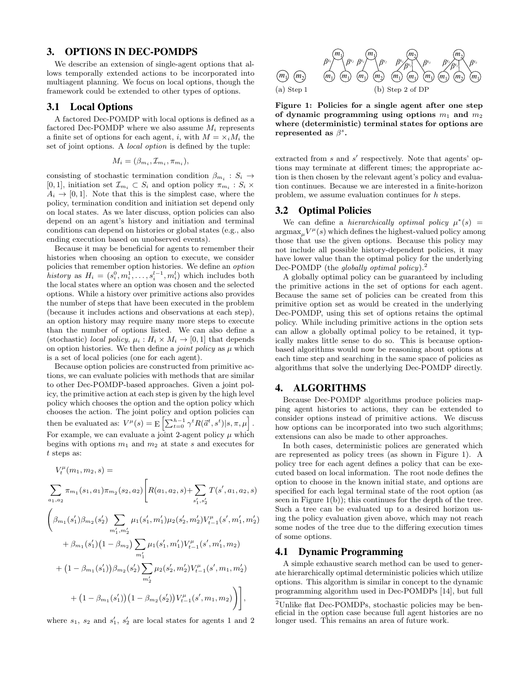# 3. OPTIONS IN DEC-POMDPS

We describe an extension of single-agent options that allows temporally extended actions to be incorporated into multiagent planning. We focus on local options, though the framework could be extended to other types of options.

# 3.1 Local Options

A factored Dec-POMDP with local options is defined as a factored Dec-POMDP where we also assume  $M_i$  represents a finite set of options for each agent, i, with  $M = \times_i M_i$  the set of joint options. A local option is defined by the tuple:

$$
M_i = (\beta_{m_i}, \mathcal{I}_{m_i}, \pi_{m_i}),
$$

consisting of stochastic termination condition  $\beta_{m_i}: S_i \to$ [0, 1], initiation set  $\mathcal{I}_{m_i} \subset S_i$  and option policy  $\pi_{m_i} : S_i \times$  $A_i \rightarrow [0, 1]$ . Note that this is the simplest case, where the policy, termination condition and initiation set depend only on local states. As we later discuss, option policies can also depend on an agent's history and initiation and terminal conditions can depend on histories or global states (e.g., also ending execution based on unobserved events).

Because it may be beneficial for agents to remember their histories when choosing an option to execute, we consider policies that remember option histories. We define an option history as  $H_i = (s_i^0, m_i^1, \dots, s_i^{l-1}, m_i^l)$  which includes both the local states where an option was chosen and the selected options. While a history over primitive actions also provides the number of steps that have been executed in the problem (because it includes actions and observations at each step), an option history may require many more steps to execute than the number of options listed. We can also define a (stochastic) local policy,  $\mu_i : H_i \times M_i \to [0, 1]$  that depends on option histories. We then define a *joint policy* as  $\mu$  which is a set of local policies (one for each agent).

Because option policies are constructed from primitive actions, we can evaluate policies with methods that are similar to other Dec-POMDP-based approaches. Given a joint policy, the primitive action at each step is given by the high level policy which chooses the option and the option policy which chooses the action. The joint policy and option policies can then be evaluated as:  $V^{\mu}(s) = \mathbb{E}\left[\sum_{t=0}^{h-1} \gamma^t R(\vec{a}^t, s^t) | s, \pi, \mu\right].$ For example, we can evaluate a joint 2-agent policy  $\mu$  which begins with options  $m_1$  and  $m_2$  at state s and executes for t steps as:

$$
V_t^{\mu}(m_1, m_2, s) =
$$
\n
$$
\sum_{a_1, a_2} \pi_{m_1}(s_1, a_1) \pi_{m_2}(s_2, a_2) \left[ R(a_1, a_2, s) + \sum_{s'_1, s'_2} T(s', a_1, a_2, s) \right]
$$
\n
$$
\left( \beta_{m_1}(s'_1) \beta_{m_2}(s'_2) \sum_{m'_1, m'_2} \mu_1(s'_1, m'_1) \mu_2(s'_2, m'_2) V_{t-1}^{\mu}(s', m'_1, m'_2) + \beta_{m_1}(s'_1) (1 - \beta_{m_2}) \sum_{m'_1} \mu_1(s'_1, m'_1) V_{t-1}^{\mu}(s', m'_1, m_2) + (1 - \beta_{m_1}(s'_1)) \beta_{m_2}(s'_2) \sum_{m'_2} \mu_2(s'_2, m'_2) V_{t-1}^{\mu}(s', m_1, m'_2) + (1 - \beta_{m_1}(s'_1)) (1 - \beta_{m_2}(s'_2)) V_{t-1}^{\mu}(s', m_1, m_2) \right],
$$

where  $s_1$ ,  $s_2$  and  $s'_1$ ,  $s'_2$  are local states for agents 1 and 2



Figure 1: Policies for a single agent after one step of dynamic programming using options  $m_1$  and  $m_2$ where (deterministic) terminal states for options are represented as  $\beta^s$ .

extracted from  $s$  and  $s'$  respectively. Note that agents' options may terminate at different times; the appropriate action is then chosen by the relevant agent's policy and evaluation continues. Because we are interested in a finite-horizon problem, we assume evaluation continues for h steps.

# 3.2 Optimal Policies

We can define a *hierarchically optimal policy*  $\mu^*(s)$  =  $\operatorname{argmax}_{\mu} V^{\mu}(s)$  which defines the highest-valued policy among those that use the given options. Because this policy may not include all possible history-dependent policies, it may have lower value than the optimal policy for the underlying Dec-POMDP (the globally optimal policy).<sup>2</sup>

A globally optimal policy can be guaranteed by including the primitive actions in the set of options for each agent. Because the same set of policies can be created from this primitive option set as would be created in the underlying Dec-POMDP, using this set of options retains the optimal policy. While including primitive actions in the option sets can allow a globally optimal policy to be retained, it typically makes little sense to do so. This is because optionbased algorithms would now be reasoning about options at each time step and searching in the same space of policies as algorithms that solve the underlying Dec-POMDP directly.

# 4. ALGORITHMS

Because Dec-POMDP algorithms produce policies mapping agent histories to actions, they can be extended to consider options instead of primitive actions. We discuss how options can be incorporated into two such algorithms; extensions can also be made to other approaches.

In both cases, deterministic polices are generated which are represented as policy trees (as shown in Figure 1). A policy tree for each agent defines a policy that can be executed based on local information. The root node defines the option to choose in the known initial state, and options are specified for each legal terminal state of the root option (as seen in Figure  $1(b)$ ; this continues for the depth of the tree. Such a tree can be evaluated up to a desired horizon using the policy evaluation given above, which may not reach some nodes of the tree due to the differing execution times of some options.

# 4.1 Dynamic Programming

A simple exhaustive search method can be used to generate hierarchically optimal deterministic policies which utilize options. This algorithm is similar in concept to the dynamic programming algorithm used in Dec-POMDPs [14], but full

<sup>2</sup>Unlike flat Dec-POMDPs, stochastic policies may be beneficial in the option case because full agent histories are no longer used. This remains an area of future work.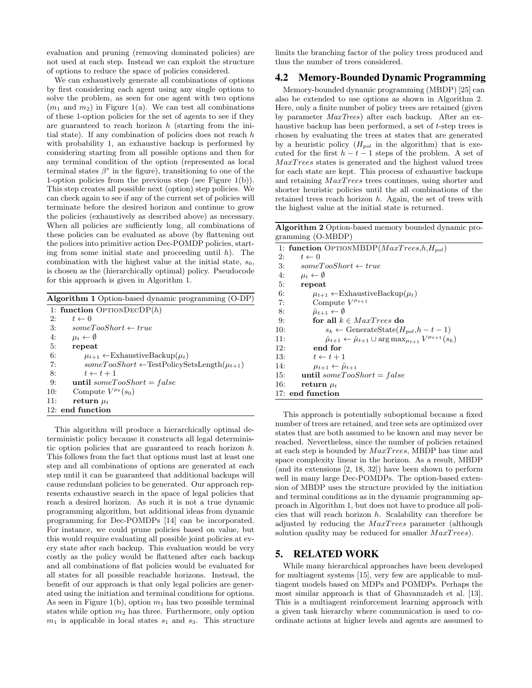evaluation and pruning (removing dominated policies) are not used at each step. Instead we can exploit the structure of options to reduce the space of policies considered.

We can exhaustively generate all combinations of options by first considering each agent using any single options to solve the problem, as seen for one agent with two options  $(m_1 \text{ and } m_2)$  in Figure 1(a). We can test all combinations of these 1-option policies for the set of agents to see if they are guaranteed to reach horizon  $h$  (starting from the initial state). If any combination of policies does not reach  $h$ with probability 1, an exhaustive backup is performed by considering starting from all possible options and then for any terminal condition of the option (represented as local terminal states  $\beta^s$  in the figure), transitioning to one of the 1-option policies from the previous step (see Figure 1(b)). This step creates all possible next (option) step policies. We can check again to see if any of the current set of policies will terminate before the desired horizon and continue to grow the policies (exhaustively as described above) as necessary. When all policies are sufficiently long, all combinations of these policies can be evaluated as above (by flattening out the polices into primitive action Dec-POMDP policies, starting from some initial state and proceeding until  $h$ ). The combination with the highest value at the initial state,  $s_0$ , is chosen as the (hierarchically optimal) policy. Pseudocode for this approach is given in Algorithm 1.

| <b>Algorithm 1</b> Option-based dynamic programming (O-DP) |                                                            |  |  |  |  |
|------------------------------------------------------------|------------------------------------------------------------|--|--|--|--|
|                                                            | 1: function $\text{OPTIONDECDP}(h)$                        |  |  |  |  |
| 2:                                                         | $t \leftarrow 0$                                           |  |  |  |  |
| 3:                                                         | $someTooShort \leftarrow true$                             |  |  |  |  |
| 4:                                                         | $\mu_t \leftarrow \emptyset$                               |  |  |  |  |
| 5:                                                         | repeat                                                     |  |  |  |  |
| 6:                                                         | $\mu_{t+1} \leftarrow$ ExhaustiveBackup $(\mu_t)$          |  |  |  |  |
| 7:                                                         | $some TooShort \leftarrow TestPolicySetsLength(\mu_{t+1})$ |  |  |  |  |
| 8:                                                         | $t \leftarrow t + 1$                                       |  |  |  |  |
| 9:                                                         | until someTooShort = false                                 |  |  |  |  |
| 10:                                                        | Compute $V^{\mu_t}(s_0)$                                   |  |  |  |  |
| 11:                                                        | return $\mu_t$                                             |  |  |  |  |
|                                                            | 12: end function                                           |  |  |  |  |
|                                                            |                                                            |  |  |  |  |

This algorithm will produce a hierarchically optimal deterministic policy because it constructs all legal deterministic option policies that are guaranteed to reach horizon h. This follows from the fact that options must last at least one step and all combinations of options are generated at each step until it can be guaranteed that additional backups will cause redundant policies to be generated. Our approach represents exhaustive search in the space of legal policies that reach a desired horizon. As such it is not a true dynamic programming algorithm, but additional ideas from dynamic programming for Dec-POMDPs [14] can be incorporated. For instance, we could prune policies based on value, but this would require evaluating all possible joint policies at every state after each backup. This evaluation would be very costly as the policy would be flattened after each backup and all combinations of flat policies would be evaluated for all states for all possible reachable horizons. Instead, the benefit of our approach is that only legal policies are generated using the initiation and terminal conditions for options. As seen in Figure 1(b), option  $m_1$  has two possible terminal states while option  $m_2$  has three. Furthermore, only option  $m_1$  is applicable in local states  $s_1$  and  $s_3$ . This structure limits the branching factor of the policy trees produced and thus the number of trees considered.

#### 4.2 Memory-Bounded Dynamic Programming

Memory-bounded dynamic programming (MBDP) [25] can also be extended to use options as shown in Algorithm 2. Here, only a finite number of policy trees are retained (given by parameter MaxTrees) after each backup. After an exhaustive backup has been performed, a set of t-step trees is chosen by evaluating the trees at states that are generated by a heuristic policy  $(H_{pol}$  in the algorithm) that is executed for the first  $h - t - 1$  steps of the problem. A set of MaxT rees states is generated and the highest valued trees for each state are kept. This process of exhaustive backups and retaining  $MaxTrees$  trees continues, using shorter and shorter heuristic policies until the all combinations of the retained trees reach horizon  $h$ . Again, the set of trees with the highest value at the initial state is returned.

Algorithm 2 Option-based memory bounded dynamic programming (O-MBDP)

|     | 1: function $\text{OPTIONMBDP}(MaxTrees, h, H_{pol})$                                      |
|-----|--------------------------------------------------------------------------------------------|
| 2:  | $t \leftarrow 0$                                                                           |
| 3:  | $someTooShort \leftarrow true$                                                             |
| 4:  | $\mu_t \leftarrow \emptyset$                                                               |
| 5:  | repeat                                                                                     |
| 6:  | $\mu_{t+1} \leftarrow$ ExhaustiveBackup $(\mu_t)$                                          |
| 7:  | Compute $V^{\mu_{t+1}}$                                                                    |
| 8:  | $\hat{\mu}_{t+1} \leftarrow \emptyset$                                                     |
| 9:  | for all $k \in Max Trees$ do                                                               |
| 10: | $s_k \leftarrow$ GenerateState $(H_{pol}, h - t - 1)$                                      |
| 11: | $\hat{\mu}_{t+1} \leftarrow \hat{\mu}_{t+1} \cup \arg \max_{\mu_{t+1}} V^{\mu_{t+1}}(s_k)$ |
| 12: | end for                                                                                    |
| 13: | $t \leftarrow t + 1$                                                                       |
| 14: | $\mu_{t+1} \leftarrow \hat{\mu}_{t+1}$                                                     |
| 15: | until someTooShort = false                                                                 |
| 16: | return $\mu_t$                                                                             |
|     | 17: end function                                                                           |
|     |                                                                                            |

This approach is potentially suboptiomal because a fixed number of trees are retained, and tree sets are optimized over states that are both assumed to be known and may never be reached. Nevertheless, since the number of policies retained at each step is bounded by MaxT rees, MBDP has time and space complexity linear in the horizon. As a result, MBDP (and its extensions [2, 18, 32]) have been shown to perform well in many large Dec-POMDPs. The option-based extension of MBDP uses the structure provided by the initiation and terminal conditions as in the dynamic programming approach in Algorithm 1, but does not have to produce all policies that will reach horizon h. Scalability can therefore be adjusted by reducing the  $MaxTrees$  parameter (although solution quality may be reduced for smaller  $MaxTrees$ ).

# 5. RELATED WORK

While many hierarchical approaches have been developed for multiagent systems [15], very few are applicable to multiagent models based on MDPs and POMDPs. Perhaps the most similar approach is that of Ghavamzadeh et al. [13]. This is a multiagent reinforcement learning approach with a given task hierarchy where communication is used to coordinate actions at higher levels and agents are assumed to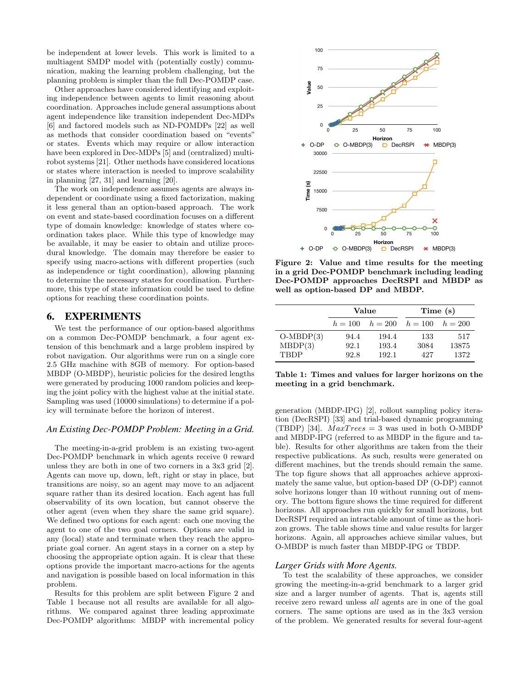be independent at lower levels. This work is limited to a multiagent SMDP model with (potentially costly) communication, making the learning problem challenging, but the planning problem is simpler than the full Dec-POMDP case.

Other approaches have considered identifying and exploiting independence between agents to limit reasoning about coordination. Approaches include general assumptions about agent independence like transition independent Dec-MDPs [6] and factored models such as ND-POMDPs [22] as well as methods that consider coordination based on "events" or states. Events which may require or allow interaction have been explored in Dec-MDPs [5] and (centralized) multirobot systems [21]. Other methods have considered locations or states where interaction is needed to improve scalability in planning [27, 31] and learning [20].

The work on independence assumes agents are always independent or coordinate using a fixed factorization, making it less general than an option-based approach. The work on event and state-based coordination focuses on a different type of domain knowledge: knowledge of states where coordination takes place. While this type of knowledge may be available, it may be easier to obtain and utilize procedural knowledge. The domain may therefore be easier to specify using macro-actions with different properties (such as independence or tight coordination), allowing planning to determine the necessary states for coordination. Furthermore, this type of state information could be used to define options for reaching these coordination points.

# 6. EXPERIMENTS

We test the performance of our option-based algorithms on a common Dec-POMDP benchmark, a four agent extension of this benchmark and a large problem inspired by robot navigation. Our algorithms were run on a single core 2.5 GHz machine with 8GB of memory. For option-based MBDP (O-MBDP), heuristic policies for the desired lengths were generated by producing 1000 random policies and keeping the joint policy with the highest value at the initial state. Sampling was used (10000 simulations) to determine if a policy will terminate before the horizon of interest.

# *An Existing Dec-POMDP Problem: Meeting in a Grid.*

The meeting-in-a-grid problem is an existing two-agent Dec-POMDP benchmark in which agents receive 0 reward unless they are both in one of two corners in a 3x3 grid [2]. Agents can move up, down, left, right or stay in place, but transitions are noisy, so an agent may move to an adjacent square rather than its desired location. Each agent has full observability of its own location, but cannot observe the other agent (even when they share the same grid square). We defined two options for each agent: each one moving the agent to one of the two goal corners. Options are valid in any (local) state and terminate when they reach the appropriate goal corner. An agent stays in a corner on a step by choosing the appropriate option again. It is clear that these options provide the important macro-actions for the agents and navigation is possible based on local information in this problem.

Results for this problem are split between Figure 2 and Table 1 because not all results are available for all algorithms. We compared against three leading approximate Dec-POMDP algorithms: MBDP with incremental policy



Figure 2: Value and time results for the meeting in a grid Dec-POMDP benchmark including leading Dec-POMDP approaches DecRSPI and MBDP as well as option-based DP and MBDP.

|             | Value |                                         | Time (s) |       |
|-------------|-------|-----------------------------------------|----------|-------|
|             |       | $h = 100$ $h = 200$ $h = 100$ $h = 200$ |          |       |
| $O-MBDP(3)$ | 94.4  | 194.4                                   | 133      | 517   |
| MBDP(3)     | 92.1  | 193.4                                   | 3084     | 13875 |
| <b>TBDP</b> | 92.8  | 192.1                                   | 42.7     | 1372  |

Table 1: Times and values for larger horizons on the meeting in a grid benchmark.

generation (MBDP-IPG) [2], rollout sampling policy iteration (DecRSPI) [33] and trial-based dynamic programming (TBDP) [34].  $MaxTrees = 3$  was used in both O-MBDP and MBDP-IPG (referred to as MBDP in the figure and table). Results for other algorithms are taken from the their respective publications. As such, results were generated on different machines, but the trends should remain the same. The top figure shows that all approaches achieve approximately the same value, but option-based DP (O-DP) cannot solve horizons longer than 10 without running out of memory. The bottom figure shows the time required for different horizons. All approaches run quickly for small horizons, but DecRSPI required an intractable amount of time as the horizon grows. The table shows time and value results for larger horizons. Again, all approaches achieve similar values, but O-MBDP is much faster than MBDP-IPG or TBDP.

#### *Larger Grids with More Agents.*

To test the scalability of these approaches, we consider growing the meeting-in-a-grid benchmark to a larger grid size and a larger number of agents. That is, agents still receive zero reward unless all agents are in one of the goal corners. The same options are used as in the 3x3 version of the problem. We generated results for several four-agent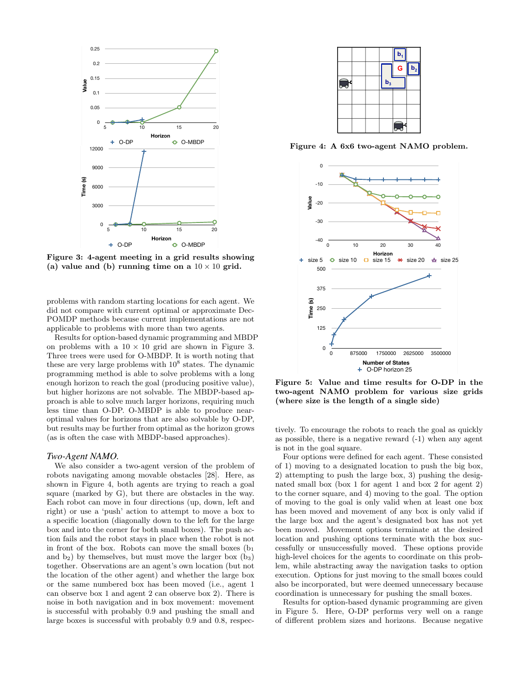

Figure 3: 4-agent meeting in a grid results showing (a) value and (b) running time on a  $10 \times 10$  grid.

problems with random starting locations for each agent. We did not compare with current optimal or approximate Dec-POMDP methods because current implementations are not applicable to problems with more than two agents.<br>Results for option-based dynamic programming and

Results for option-based dynamic programming and MBDP on problems with a  $10 \times 10$  grid are shown in Figure 3. Three trees were used for O-MBDP. It is worth noting that these are very large problems with  $10^8$  states. The dynamic programming method is able to solve problems with a long enough horizon to reach the goal (producing positive value), but higher horizons are not solvable. The MBDP-based approach is able to solve much larger horizons, requiring much less time than O-DP. O-MBDP is able to produce nearoptimal values for horizons that are also solvable by O-DP, but results may be further from optimal as the horizon grows (as is often the case with MBDP-based approaches).

#### *Two-Agent NAMO.*

We also consider a two-agent version of the problem of robots navigating among movable obstacles [28]. Here, as shown in Figure 4, both agents are trying to reach a goal square (marked by G), but there are obstacles in the way. Each robot can move in four directions (up, down, left and right) or use a 'push' action to attempt to move a box to a specific location (diagonally down to the left for the large box and into the corner for both small boxes). The push action fails and the robot stays in place when the robot is not in front of the box. Robots can move the small boxes  $(b_1)$ and  $b_2$ ) by themselves, but must move the larger box  $(b_3)$ together. Observations are an agent's own location (but not the location of the other agent) and whether the large box or the same numbered box has been moved (i.e., agent 1 can observe box 1 and agent 2 can observe box 2). There is noise in both navigation and in box movement: movement is successful with probably 0.9 and pushing the small and large boxes is successful with probably 0.9 and 0.8, respec-



Figure 4: A 6x6 two-agent NAMO problem.



Figure 5: Value and time results for O-DP in the two-agent NAMO problem for various size grids (where size is the length of a single side)

tively. To encourage the robots to reach the goal as quickly as possible, there is a negative reward (-1) when any agent is not in the goal square.

Four options were defined for each agent. These consisted of 1) moving to a designated location to push the big box, 2) attempting to push the large box, 3) pushing the designated small box (box 1 for agent 1 and box 2 for agent 2) to the corner square, and 4) moving to the goal. The option of moving to the goal is only valid when at least one box has been moved and movement of any box is only valid if the large box and the agent's designated box has not yet been moved. Movement options terminate at the desired location and pushing options terminate with the box successfully or unsuccessfully moved. These options provide high-level choices for the agents to coordinate on this problem, while abstracting away the navigation tasks to option execution. Options for just moving to the small boxes could also be incorporated, but were deemed unnecessary because coordination is unnecessary for pushing the small boxes.

Results for option-based dynamic programming are given in Figure 5. Here, O-DP performs very well on a range of different problem sizes and horizons. Because negative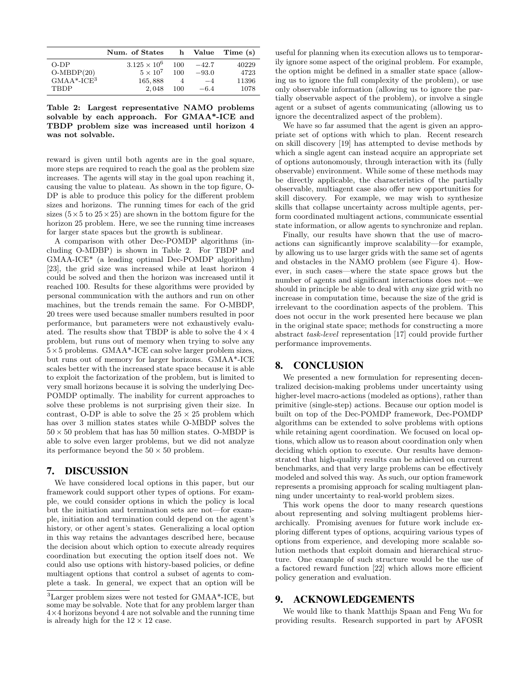|                                        | Num. of States        |     | h Value | Time (s) |
|----------------------------------------|-----------------------|-----|---------|----------|
| $O-DP$                                 | $3.125 \times 10^{6}$ | 100 | $-42.7$ | 40229    |
| $O-MBDP(20)$<br>GMAA*-ICE <sup>3</sup> | $5 \times 10^7$       | 100 | $-93.0$ | 4723     |
|                                        | 165,888               | 4   | $-4$    | 11396    |
| <b>TRDP</b>                            | 2.048                 | 100 | $-6.4$  | 1078     |

Table 2: Largest representative NAMO problems solvable by each approach. For GMAA\*-ICE and TBDP problem size was increased until horizon 4 was not solvable.

reward is given until both agents are in the goal square, more steps are required to reach the goal as the problem size increases. The agents will stay in the goal upon reaching it, causing the value to plateau. As shown in the top figure, O-DP is able to produce this policy for the different problem sizes and horizons. The running times for each of the grid sizes  $(5 \times 5$  to  $25 \times 25)$  are shown in the bottom figure for the horizon 25 problem. Here, we see the running time increases for larger state spaces but the growth is sublinear.

A comparison with other Dec-POMDP algorithms (including O-MDBP) is shown in Table 2. For TBDP and GMAA-ICE\* (a leading optimal Dec-POMDP algorithm) [23], the grid size was increased while at least horizon 4 could be solved and then the horizon was increased until it reached 100. Results for these algorithms were provided by personal communication with the authors and run on other machines, but the trends remain the same. For O-MBDP, 20 trees were used because smaller numbers resulted in poor performance, but parameters were not exhaustively evaluated. The results show that TBDP is able to solve the  $4 \times 4$ problem, but runs out of memory when trying to solve any  $5\times5$  problems. GMAA\*-ICE can solve larger problem sizes, but runs out of memory for larger horizons. GMAA\*-ICE scales better with the increased state space because it is able to exploit the factorization of the problem, but is limited to very small horizons because it is solving the underlying Dec-POMDP optimally. The inability for current approaches to solve these problems is not surprising given their size. In contrast, O-DP is able to solve the  $25 \times 25$  problem which has over 3 million states states while O-MBDP solves the  $50 \times 50$  problem that has has 50 million states. O-MBDP is able to solve even larger problems, but we did not analyze its performance beyond the  $50 \times 50$  problem.

# 7. DISCUSSION

We have considered local options in this paper, but our framework could support other types of options. For example, we could consider options in which the policy is local but the initiation and termination sets are not—for example, initiation and termination could depend on the agent's history, or other agent's states. Generalizing a local option in this way retains the advantages described here, because the decision about which option to execute already requires coordination but executing the option itself does not. We could also use options with history-based policies, or define multiagent options that control a subset of agents to complete a task. In general, we expect that an option will be useful for planning when its execution allows us to temporarily ignore some aspect of the original problem. For example, the option might be defined in a smaller state space (allowing us to ignore the full complexity of the problem), or use only observable information (allowing us to ignore the partially observable aspect of the problem), or involve a single agent or a subset of agents communicating (allowing us to ignore the decentralized aspect of the problem).

We have so far assumed that the agent is given an appropriate set of options with which to plan. Recent research on skill discovery [19] has attempted to devise methods by which a single agent can instead acquire an appropriate set of options autonomously, through interaction with its (fully observable) environment. While some of these methods may be directly applicable, the characteristics of the partially observable, multiagent case also offer new opportunities for skill discovery. For example, we may wish to synthesize skills that collapse uncertainty across multiple agents, perform coordinated multiagent actions, communicate essential state information, or allow agents to synchronize and replan.

Finally, our results have shown that the use of macroactions can significantly improve scalability—for example, by allowing us to use larger grids with the same set of agents and obstacles in the NAMO problem (see Figure 4). However, in such cases—where the state space grows but the number of agents and significant interactions does not—we should in principle be able to deal with any size grid with no increase in computation time, because the size of the grid is irrelevant to the coordination aspects of the problem. This does not occur in the work presented here because we plan in the original state space; methods for constructing a more abstract task-level representation [17] could provide further performance improvements.

# 8. CONCLUSION

We presented a new formulation for representing decentralized decision-making problems under uncertainty using higher-level macro-actions (modeled as options), rather than primitive (single-step) actions. Because our option model is built on top of the Dec-POMDP framework, Dec-POMDP algorithms can be extended to solve problems with options while retaining agent coordination. We focused on local options, which allow us to reason about coordination only when deciding which option to execute. Our results have demonstrated that high-quality results can be achieved on current benchmarks, and that very large problems can be effectively modeled and solved this way. As such, our option framework represents a promising approach for scaling multiagent planning under uncertainty to real-world problem sizes.

This work opens the door to many research questions about representing and solving multiagent problems hierarchically. Promising avenues for future work include exploring different types of options, acquiring various types of options from experience, and developing more scalable solution methods that exploit domain and hierarchical structure. One example of such structure would be the use of a factored reward function [22] which allows more efficient policy generation and evaluation.

# 9. ACKNOWLEDGEMENTS

We would like to thank Matthijs Spaan and Feng Wu for providing results. Research supported in part by AFOSR

<sup>3</sup>Larger problem sizes were not tested for GMAA\*-ICE, but some may be solvable. Note that for any problem larger than 4×4 horizons beyond 4 are not solvable and the running time is already high for the  $12 \times 12$  case.